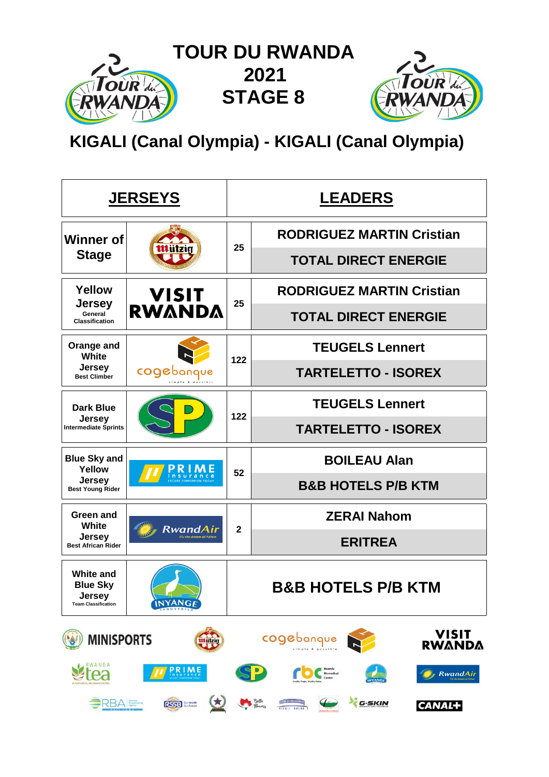

**KIGALI (Canal Olympia) - KIGALI (Canal Olympia)**

|                                                                             | <b>JERSEYS</b>                 |              | <b>LEADERS</b>                                             |  |  |  |  |  |  |
|-----------------------------------------------------------------------------|--------------------------------|--------------|------------------------------------------------------------|--|--|--|--|--|--|
| <b>Winner of</b>                                                            |                                | 25           | <b>RODRIGUEZ MARTIN Cristian</b>                           |  |  |  |  |  |  |
| <b>Stage</b>                                                                |                                |              | <b>TOTAL DIRECT ENERGIE</b>                                |  |  |  |  |  |  |
| Yellow                                                                      | <b>VISIT</b>                   | 25           | <b>RODRIGUEZ MARTIN Cristian</b>                           |  |  |  |  |  |  |
| <b>Jersey</b><br>General<br><b>Classification</b>                           | <b>RWANDA</b>                  |              | <b>TOTAL DIRECT ENERGIE</b>                                |  |  |  |  |  |  |
| Orange and<br><b>White</b>                                                  |                                | 122          | <b>TEUGELS Lennert</b>                                     |  |  |  |  |  |  |
| <b>Jersey</b><br><b>Best Climber</b>                                        | cogebang                       |              | <b>TARTELETTO - ISOREX</b>                                 |  |  |  |  |  |  |
| <b>Dark Blue</b>                                                            |                                | 122          | <b>TEUGELS Lennert</b>                                     |  |  |  |  |  |  |
| <b>Jersey</b><br><b>Intermediate Sprints</b>                                |                                |              | <b>TARTELETTO - ISOREX</b>                                 |  |  |  |  |  |  |
| <b>Blue Sky and</b><br>Yellow                                               |                                | 52           | <b>BOILEAU Alan</b>                                        |  |  |  |  |  |  |
| <b>Jersey</b><br><b>Best Young Rider</b>                                    |                                |              | <b>B&amp;B HOTELS P/B KTM</b>                              |  |  |  |  |  |  |
| Green and<br>White                                                          | RwandAir                       | $\mathbf{2}$ | <b>ZERAI Nahom</b>                                         |  |  |  |  |  |  |
| <b>Jersey</b><br><b>Best African Rider</b>                                  | <b>Fly the dream of Africa</b> |              | <b>ERITREA</b>                                             |  |  |  |  |  |  |
| <b>White and</b><br><b>Blue Sky</b><br>Jersey<br><b>Team Classification</b> | <b>INYANGE</b>                 |              | B&B HOTELS P/B KTM                                         |  |  |  |  |  |  |
| <b>MINISPORTS</b>                                                           | tttützig                       |              | VISIT<br>cogebanque<br><b>RWANDA</b>                       |  |  |  |  |  |  |
| RWANDA                                                                      | <b>PRIME</b>                   |              | <b>RwandAir</b>                                            |  |  |  |  |  |  |
| <b>BRBA</b> Broadcasting                                                    | (大)<br>RSSB Sur Health         |              | Bette<br>Thomas<br>G-SKIN<br><b>CANAL+</b><br>KIBALI ARENA |  |  |  |  |  |  |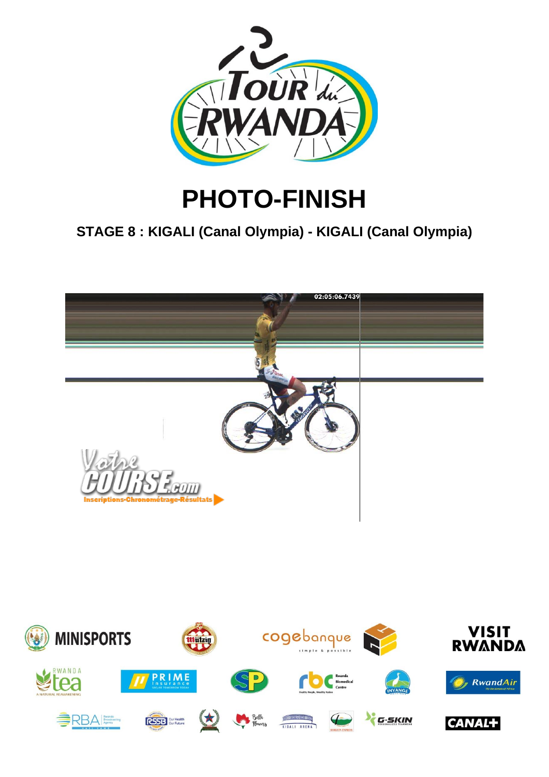

# **PHOTO-FINISH**

## **STAGE 8 : KIGALI (Canal Olympia) - KIGALI (Canal Olympia)**



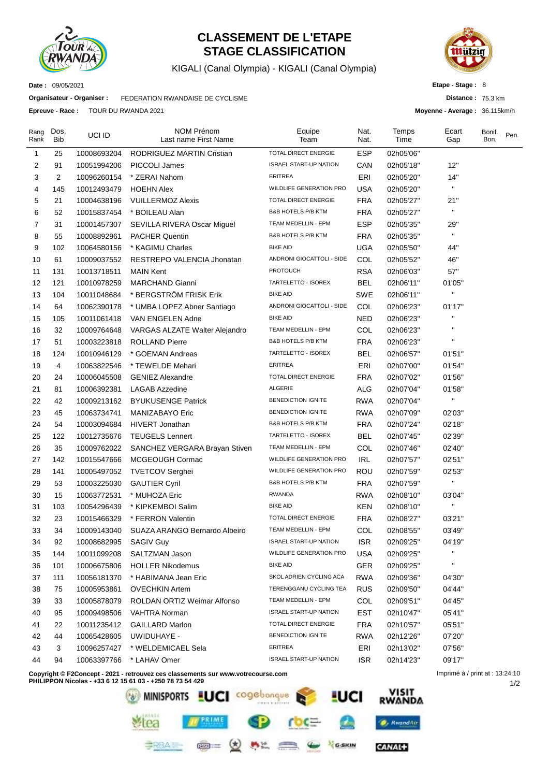

## **CLASSEMENT DE L'ETAPE STAGE CLASSIFICATION**

KIGALI (Canal Olympia) - KIGALI (Canal Olympia)



**Distance :** 75.3 km **Moyenne - Average :** 36.115km/h

1/2

**Etape - Stage :** 8

**Date :** 09/05/2021

**Organisateur - Organiser :** FEDERATION RWANDAISE DE CYCLISME

**Epreuve - Race :** TOUR DU RWANDA 2021

| Rang<br>Rank | Dos.<br>Bib | UCI ID      | <b>NOM Prénom</b><br>Last name First Name                                        | Equipe<br>Team                 | Nat.<br>Nat. | Temps<br>Time | Ecart<br>Gap                    | Bonif.<br>Bon. | Pen. |
|--------------|-------------|-------------|----------------------------------------------------------------------------------|--------------------------------|--------------|---------------|---------------------------------|----------------|------|
| $\mathbf{1}$ | 25          | 10008693204 | <b>RODRIGUEZ MARTIN Cristian</b>                                                 | TOTAL DIRECT ENERGIE           | <b>ESP</b>   | 02h05'06"     |                                 |                |      |
| 2            | 91          | 10051994206 | PICCOLI James                                                                    | <b>ISRAEL START-UP NATION</b>  | CAN          | 02h05'18"     | 12"                             |                |      |
| 3            | 2           | 10096260154 | * ZERAI Nahom                                                                    | <b>ERITREA</b>                 | ERI          | 02h05'20"     | 14"                             |                |      |
| 4            | 145         | 10012493479 | <b>HOEHN Alex</b>                                                                | WILDLIFE GENERATION PRO        | <b>USA</b>   | 02h05'20"     | н                               |                |      |
| 5            | 21          | 10004638196 | <b>VUILLERMOZ Alexis</b>                                                         | TOTAL DIRECT ENERGIE           | <b>FRA</b>   | 02h05'27"     | 21"                             |                |      |
| 6            | 52          | 10015837454 | * BOILEAU Alan                                                                   | B&B HOTELS P/B KTM             | <b>FRA</b>   | 02h05'27"     | $\blacksquare$                  |                |      |
| 7            | 31          | 10001457307 | SEVILLA RIVERA Oscar Miguel                                                      | TEAM MEDELLIN - EPM            | <b>ESP</b>   | 02h05'35"     | 29"                             |                |      |
| 8            | 55          | 10008892961 | <b>PACHER Quentin</b>                                                            | <b>B&amp;B HOTELS P/B KTM</b>  | <b>FRA</b>   | 02h05'35"     | н                               |                |      |
| 9            | 102         | 10064580156 | * KAGIMU Charles                                                                 | <b>BIKE AID</b>                | <b>UGA</b>   | 02h05'50"     | 44"                             |                |      |
| 10           | 61          | 10009037552 | RESTREPO VALENCIA Jhonatan                                                       | ANDRONI GIOCATTOLI - SIDE      | COL          | 02h05'52"     | 46"                             |                |      |
| 11           | 131         | 10013718511 | <b>MAIN Kent</b>                                                                 | <b>PROTOUCH</b>                | <b>RSA</b>   | 02h06'03"     | 57"                             |                |      |
| 12           | 121         | 10010978259 | <b>MARCHAND Gianni</b>                                                           | TARTELETTO - ISOREX            | <b>BEL</b>   | 02h06'11"     | 01'05"                          |                |      |
| 13           | 104         | 10011048684 | * BERGSTRÖM FRISK Erik                                                           | <b>BIKE AID</b>                | <b>SWE</b>   | 02h06'11"     | П                               |                |      |
| 14           | 64          | 10062390178 | * UMBA LOPEZ Abner Santiago                                                      | ANDRONI GIOCATTOLI - SIDE      | COL          | 02h06'23"     | 01'17"                          |                |      |
| 15           | 105         | 10011061418 | VAN ENGELEN Adne                                                                 | <b>BIKE AID</b>                | <b>NED</b>   | 02h06'23"     |                                 |                |      |
| 16           | 32          | 10009764648 | VARGAS ALZATE Walter Alejandro                                                   | TEAM MEDELLIN - EPM            | COL          | 02h06'23"     |                                 |                |      |
| 17           | 51          | 10003223818 | <b>ROLLAND Pierre</b>                                                            | B&B HOTELS P/B KTM             | <b>FRA</b>   | 02h06'23"     | п                               |                |      |
| 18           | 124         | 10010946129 | * GOEMAN Andreas                                                                 | TARTELETTO - ISOREX            | <b>BEL</b>   | 02h06'57"     | 01'51"                          |                |      |
| 19           | 4           | 10063822546 | * TEWELDE Mehari                                                                 | <b>ERITREA</b>                 | ERI          | 02h07'00"     | 01'54"                          |                |      |
| 20           | 24          | 10006045508 | <b>GENIEZ Alexandre</b>                                                          | TOTAL DIRECT ENERGIE           | <b>FRA</b>   | 02h07'02"     | 01'56"                          |                |      |
| 21           | 81          | 10006392381 | <b>LAGAB Azzedine</b>                                                            | ALGERIE                        | <b>ALG</b>   | 02h07'04"     | 01'58"                          |                |      |
| 22           | 42          | 10009213162 | <b>BYUKUSENGE Patrick</b>                                                        | <b>BENEDICTION IGNITE</b>      | <b>RWA</b>   | 02h07'04"     | $\mathbf{H}$                    |                |      |
| 23           | 45          | 10063734741 | MANIZABAYO Eric                                                                  | <b>BENEDICTION IGNITE</b>      | <b>RWA</b>   | 02h07'09"     | 02'03"                          |                |      |
| 24           | 54          | 10003094684 | <b>HIVERT Jonathan</b>                                                           | B&B HOTELS P/B KTM             | <b>FRA</b>   | 02h07'24"     | 02'18"                          |                |      |
| 25           | 122         | 10012735676 | <b>TEUGELS Lennert</b>                                                           | TARTELETTO - ISOREX            | <b>BEL</b>   | 02h07'45"     | 02'39"                          |                |      |
| 26           | 35          | 10009762022 | SANCHEZ VERGARA Brayan Stiven                                                    | TEAM MEDELLIN - EPM            | COL          | 02h07'46"     | 02'40"                          |                |      |
| 27           | 142         | 10015547666 | MCGEOUGH Cormac                                                                  | WILDLIFE GENERATION PRO        | IRL          | 02h07'57"     | 02'51"                          |                |      |
| 28           | 141         | 10005497052 | <b>TVETCOV Serghei</b>                                                           | <b>WILDLIFE GENERATION PRO</b> | <b>ROU</b>   | 02h07'59"     | 02'53"                          |                |      |
| 29           | 53          | 10003225030 | <b>GAUTIER Cyril</b>                                                             | <b>B&amp;B HOTELS P/B KTM</b>  | <b>FRA</b>   | 02h07'59"     | П                               |                |      |
| 30           | 15          | 10063772531 | * MUHOZA Eric                                                                    | <b>RWANDA</b>                  | <b>RWA</b>   | 02h08'10"     | 03'04"                          |                |      |
| 31           | 103         | 10054296439 | * KIPKEMBOI Salim                                                                | <b>BIKE AID</b>                | <b>KEN</b>   | 02h08'10"     | н                               |                |      |
| 32           | 23          | 10015466329 | * FERRON Valentin                                                                | TOTAL DIRECT ENERGIE           | <b>FRA</b>   | 02h08'27"     | 03'21"                          |                |      |
| 33           | 34          | 10009143040 | SUAZA ARANGO Bernardo Albeiro                                                    | TEAM MEDELLIN - EPM            | COL          | 02h08'55"     | 03'49"                          |                |      |
| 34           | 92          | 10008682995 | SAGIV Guy                                                                        | <b>ISRAEL START-UP NATION</b>  | <b>ISR</b>   | 02h09'25"     | 04'19"                          |                |      |
| 35           | 144         | 10011099208 | SALTZMAN Jason                                                                   | WILDLIFE GENERATION PRO        | <b>USA</b>   | 02h09'25"     |                                 |                |      |
| 36           | 101         | 10006675806 | <b>HOLLER Nikodemus</b>                                                          | <b>BIKE AID</b>                | <b>GER</b>   | 02h09'25"     | $\blacksquare$                  |                |      |
| 37           | 111         | 10056181370 | * HABIMANA Jean Eric                                                             | SKOL ADRIEN CYCLING ACA        | <b>RWA</b>   | 02h09'36"     | 04'30"                          |                |      |
| 38           | 75          | 10005953861 | <b>OVECHKIN Artem</b>                                                            | TERENGGANU CYCLING TEA         | <b>RUS</b>   | 02h09'50"     | 04'44"                          |                |      |
| 39           | 33          | 10005878079 | ROLDAN ORTIZ Weimar Alfonso                                                      | TEAM MEDELLIN - EPM            | COL          | 02h09'51"     | 04'45"                          |                |      |
| 40           | 95          | 10009498506 | VAHTRA Norman                                                                    | <b>ISRAEL START-UP NATION</b>  | <b>EST</b>   | 02h10'47"     | 05'41"                          |                |      |
| 41           | 22          | 10011235412 | <b>GAILLARD Marlon</b>                                                           | TOTAL DIRECT ENERGIE           | <b>FRA</b>   | 02h10'57"     | 05'51"                          |                |      |
| 42           | 44          | 10065428605 | UWIDUHAYE -                                                                      | BENEDICTION IGNITE             | <b>RWA</b>   | 02h12'26"     | 07'20"                          |                |      |
| 43           | 3           | 10096257427 | * WELDEMICAEL Sela                                                               | <b>ERITREA</b>                 | ERI          | 02h13'02"     | 07'56"                          |                |      |
| 44           | 94          | 10063397766 | * LAHAV Omer                                                                     | <b>ISRAEL START-UP NATION</b>  | ISR.         | 02h14'23"     | 09'17"                          |                |      |
|              |             |             | Copyright © F2Concept - 2021 - retrouvez ces classements sur www.votrecourse.com |                                |              |               | Imprimé à / print at : 13:24:10 |                |      |

**Copyright © F2Concept - 2021 - retrouvez ces classements sur www.votrecourse.com**

**PHILIPPON Nicolas - +33 6 12 15 61 03 - +250 78 73 54 429**

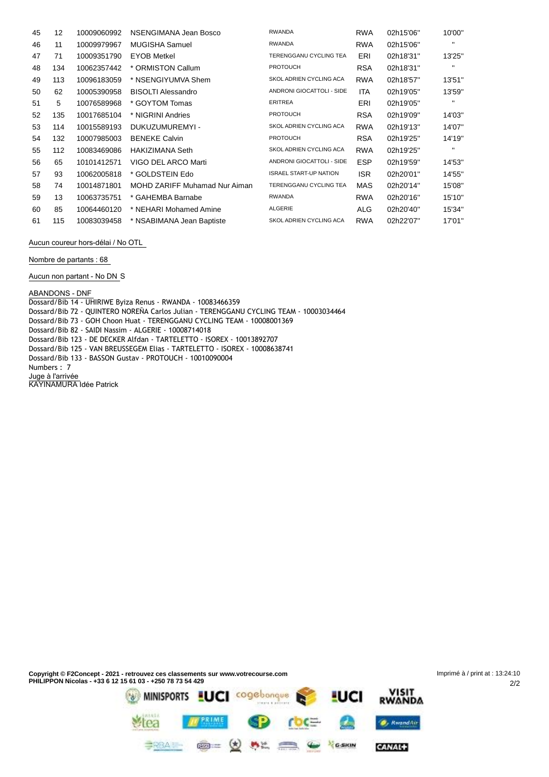| 45 | $12 \overline{ }$ | 10009060992 | NSENGIMANA Jean Bosco         | <b>RWANDA</b>                 | <b>RWA</b> | 02h15'06" | 10'00"       |
|----|-------------------|-------------|-------------------------------|-------------------------------|------------|-----------|--------------|
| 46 | 11                | 10009979967 | MUGISHA Samuel                | <b>RWANDA</b>                 | <b>RWA</b> | 02h15'06" | $\mathbf{H}$ |
| 47 | 71                | 10009351790 | <b>EYOB Metkel</b>            | <b>TERENGGANU CYCLING TEA</b> | ERI        | 02h18'31" | 13'25"       |
| 48 | 134               | 10062357442 | * ORMISTON Callum             | <b>PROTOUCH</b>               | <b>RSA</b> | 02h18'31" | $\mathbf{H}$ |
| 49 | 113               | 10096183059 | * NSENGIYUMVA Shem            | SKOL ADRIEN CYCLING ACA       | <b>RWA</b> | 02h18'57" | 13'51"       |
| 50 | 62                | 10005390958 | <b>BISOLTI Alessandro</b>     | ANDRONI GIOCATTOLI - SIDE     | <b>ITA</b> | 02h19'05" | 13'59"       |
| 51 | 5                 | 10076589968 | * GOYTOM Tomas                | <b>ERITREA</b>                | ERI        | 02h19'05" | $\mathbf{H}$ |
| 52 | 135               | 10017685104 | * NIGRINI Andries             | <b>PROTOUCH</b>               | <b>RSA</b> | 02h19'09" | 14'03"       |
| 53 | 114               | 10015589193 | DUKUZUMUREMYI -               | SKOL ADRIEN CYCLING ACA       | <b>RWA</b> | 02h19'13" | 14'07"       |
| 54 | 132               | 10007985003 | <b>BENEKE Calvin</b>          | <b>PROTOUCH</b>               | <b>RSA</b> | 02h19'25" | 14'19"       |
| 55 | 112               | 10083469086 | HAKIZIMANA Seth               | SKOL ADRIEN CYCLING ACA       | <b>RWA</b> | 02h19'25" | $\mathbf{H}$ |
| 56 | 65                | 10101412571 | VIGO DEL ARCO Marti           | ANDRONI GIOCATTOLI - SIDE     | <b>ESP</b> | 02h19'59" | 14'53"       |
| 57 | 93                | 10062005818 | * GOLDSTEIN Edo               | <b>ISRAEL START-UP NATION</b> | <b>ISR</b> | 02h20'01" | 14'55"       |
| 58 | 74                | 10014871801 | MOHD ZARIFF Muhamad Nur Aiman | <b>TERENGGANU CYCLING TEA</b> | MAS        | 02h20'14" | 15'08"       |
| 59 | 13                | 10063735751 | * GAHEMBA Barnabe             | <b>RWANDA</b>                 | <b>RWA</b> | 02h20'16" | 15'10"       |
| 60 | 85                | 10064460120 | * NEHARI Mohamed Amine        | ALGERIE                       | ALG        | 02h20'40" | 15'34"       |
| 61 | 115               | 10083039458 | * NSABIMANA Jean Baptiste     | SKOL ADRIEN CYCLING ACA       | <b>RWA</b> | 02h22'07" | 17'01"       |

**Aucun coureur hors-délai / No OTL**

**Nombre de partants : 68**

**Aucun non partant - No DN** S

**ABANDONS - DNF**

Dossard/Bib 14 - UHIRIWE Byiza Renus - RWANDA - 10083466359 Dossard/Bib 72 - QUINTERO NOREÑA Carlos Julian - TERENGGANU CYCLING TEAM - 10003034464 Dossard/Bib 73 - GOH Choon Huat - TERENGGANU CYCLING TEAM - 10008001369 Dossard/Bib 82 - SAIDI Nassim - ALGERIE - 10008714018 Dossard/Bib 123 - DE DECKER Alfdan - TARTELETTO - ISOREX - 10013892707 Dossard/Bib 125 - VAN BREUSSEGEM Elias - TARTELETTO - ISOREX - 10008638741 Dossard/Bib 133 - BASSON Gustav - PROTOUCH - 10010090004 Numbers : 7 **Juge à l'arrivée** KAYINAMURA Idée Patrick

CANAL+

**SPEAK CO OF A DISC COMMENT CONTINUES**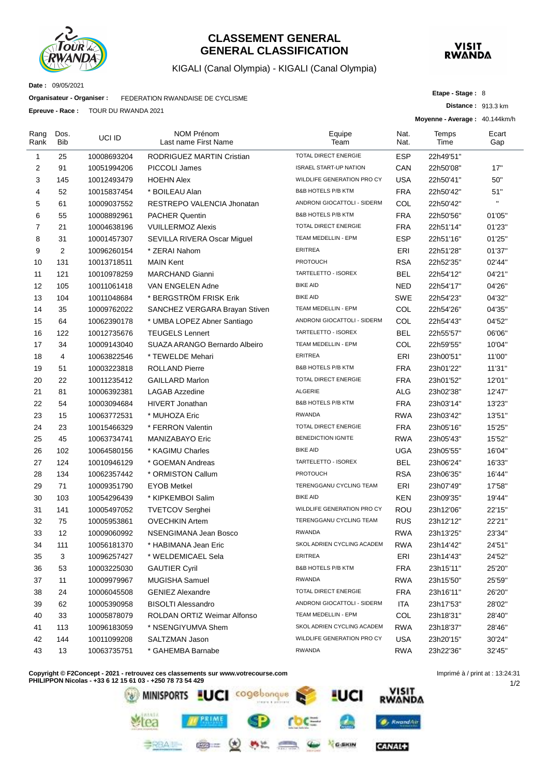

### **CLASSEMENT GENERAL GENERAL CLASSIFICATION**

### KIGALI (Canal Olympia) - KIGALI (Canal Olympia)



**Etape - Stage :** 8

**Distance :** 913.3 km

**Date :** 09/05/2021

**Organisateur - Organiser :** FEDERATION RWANDAISE DE CYCLISME

**Epreuve - Race :** TOUR DU RWANDA 2021

|                |             |             |                                           |                               |              | Moyenne - Average: 40.144km/h |              |
|----------------|-------------|-------------|-------------------------------------------|-------------------------------|--------------|-------------------------------|--------------|
| Rang<br>Rank   | Dos.<br>Bib | UCI ID      | <b>NOM Prénom</b><br>Last name First Name | Equipe<br>Team                | Nat.<br>Nat. | Temps<br>Time                 | Ecart<br>Gap |
| 1              | 25          | 10008693204 | RODRIGUEZ MARTIN Cristian                 | TOTAL DIRECT ENERGIE          | ESP          | 22h49'51"                     |              |
| 2              | 91          | 10051994206 | PICCOLI James                             | <b>ISRAEL START-UP NATION</b> | CAN          | 22h50'08"                     | 17"          |
| 3              | 145         | 10012493479 | <b>HOEHN Alex</b>                         | WILDLIFE GENERATION PRO CY    | <b>USA</b>   | 22h50'41"                     | 50"          |
| 4              | 52          | 10015837454 | * BOILEAU Alan                            | <b>B&amp;B HOTELS P/B KTM</b> | <b>FRA</b>   | 22h50'42"                     | 51"          |
| 5              | 61          | 10009037552 | RESTREPO VALENCIA Jhonatan                | ANDRONI GIOCATTOLI - SIDERM   | COL          | 22h50'42"                     | $\mathbf{H}$ |
| 6              | 55          | 10008892961 | <b>PACHER Quentin</b>                     | <b>B&amp;B HOTELS P/B KTM</b> | <b>FRA</b>   | 22h50'56"                     | 01'05"       |
| $\overline{7}$ | 21          | 10004638196 | <b>VUILLERMOZ Alexis</b>                  | TOTAL DIRECT ENERGIE          | <b>FRA</b>   | 22h51'14"                     | 01'23"       |
| 8              | 31          | 10001457307 | SEVILLA RIVERA Oscar Miguel               | TEAM MEDELLIN - EPM           | ESP          | 22h51'16"                     | 01'25"       |
| 9              | 2           | 10096260154 | * ZERAI Nahom                             | <b>ERITREA</b>                | ERI          | 22h51'28"                     | 01'37"       |
| 10             | 131         | 10013718511 | <b>MAIN Kent</b>                          | <b>PROTOUCH</b>               | <b>RSA</b>   | 22h52'35"                     | 02'44"       |
| 11             | 121         | 10010978259 | <b>MARCHAND Gianni</b>                    | TARTELETTO - ISOREX           | <b>BEL</b>   | 22h54'12"                     | 04'21"       |
| 12             | 105         | 10011061418 | VAN ENGELEN Adne                          | <b>BIKE AID</b>               | <b>NED</b>   | 22h54'17"                     | 04'26"       |
| 13             | 104         | 10011048684 | * BERGSTRÖM FRISK Erik                    | <b>BIKE AID</b>               | <b>SWE</b>   | 22h54'23"                     | 04'32"       |
| 14             | 35          | 10009762022 | SANCHEZ VERGARA Brayan Stiven             | <b>TEAM MEDELLIN - EPM</b>    | COL          | 22h54'26"                     | 04'35"       |
| 15             | 64          | 10062390178 | * UMBA LOPEZ Abner Santiago               | ANDRONI GIOCATTOLI - SIDERM   | COL          | 22h54'43"                     | 04'52"       |
| 16             | 122         | 10012735676 | <b>TEUGELS Lennert</b>                    | TARTELETTO - ISOREX           | <b>BEL</b>   | 22h55'57"                     | 06'06"       |
| 17             | 34          | 10009143040 | SUAZA ARANGO Bernardo Albeiro             | TEAM MEDELLIN - EPM           | COL          | 22h59'55"                     | 10'04"       |
| 18             | 4           | 10063822546 | * TEWELDE Mehari                          | <b>ERITREA</b>                | ERI          | 23h00'51"                     | 11'00"       |
| 19             | 51          | 10003223818 | <b>ROLLAND Pierre</b>                     | <b>B&amp;B HOTELS P/B KTM</b> | <b>FRA</b>   | 23h01'22"                     | 11'31"       |
| 20             | 22          | 10011235412 | <b>GAILLARD Marlon</b>                    | <b>TOTAL DIRECT ENERGIE</b>   | <b>FRA</b>   | 23h01'52"                     | 12'01"       |
| 21             | 81          | 10006392381 | <b>LAGAB Azzedine</b>                     | ALGERIE                       | ALG          | 23h02'38"                     | 12'47"       |
| 22             | 54          | 10003094684 | <b>HIVERT Jonathan</b>                    | <b>B&amp;B HOTELS P/B KTM</b> | <b>FRA</b>   | 23h03'14"                     | 13'23"       |
| 23             | 15          | 10063772531 | * MUHOZA Eric                             | <b>RWANDA</b>                 | <b>RWA</b>   | 23h03'42"                     | 13'51"       |
| 24             | 23          | 10015466329 | * FERRON Valentin                         | TOTAL DIRECT ENERGIE          | <b>FRA</b>   | 23h05'16"                     | 15'25"       |
| 25             | 45          | 10063734741 | MANIZABAYO Eric                           | <b>BENEDICTION IGNITE</b>     | <b>RWA</b>   | 23h05'43"                     | 15'52"       |
| 26             | 102         | 10064580156 | * KAGIMU Charles                          | <b>BIKE AID</b>               | <b>UGA</b>   | 23h05'55"                     | 16'04"       |
| 27             | 124         | 10010946129 | * GOEMAN Andreas                          | TARTELETTO - ISOREX           | <b>BEL</b>   | 23h06'24"                     | 16'33"       |
| 28             | 134         | 10062357442 | * ORMISTON Callum                         | <b>PROTOUCH</b>               | <b>RSA</b>   | 23h06'35"                     | 16'44"       |
| 29             | 71          | 10009351790 | <b>EYOB Metkel</b>                        | TERENGGANU CYCLING TEAM       | ERI          | 23h07'49"                     | 17'58"       |
| 30             | 103         | 10054296439 | * KIPKEMBOI Salim                         | <b>BIKE AID</b>               | <b>KEN</b>   | 23h09'35"                     | 19'44"       |
| 31             | 141         | 10005497052 | <b>TVETCOV Serghei</b>                    | WILDLIFE GENERATION PRO CY    | ROU          | 23h12'06"                     | 22'15"       |
| 32             | 75          | 10005953861 | <b>OVECHKIN Artem</b>                     | TERENGGANU CYCLING TEAM       | <b>RUS</b>   | 23h12'12"                     | 22'21"       |
| 33             | 12          | 10009060992 | NSENGIMANA Jean Bosco                     | <b>RWANDA</b>                 | <b>RWA</b>   | 23h13'25"                     | 23'34"       |
| 34             | 111         | 10056181370 | * HABIMANA Jean Eric                      | SKOL ADRIEN CYCLING ACADEM    | <b>RWA</b>   | 23h14'42"                     | 24'51"       |
| 35             | 3           | 10096257427 | * WELDEMICAEL Sela                        | ERITREA                       | ERI          | 23h14'43"                     | 24'52"       |
| 36             | 53          | 10003225030 | <b>GAUTIER Cyril</b>                      | <b>B&amp;B HOTELS P/B KTM</b> | <b>FRA</b>   | 23h15'11"                     | 25'20"       |
| 37             | 11          | 10009979967 | MUGISHA Samuel                            | <b>RWANDA</b>                 | <b>RWA</b>   | 23h15'50"                     | 25'59"       |
| 38             | 24          | 10006045508 | <b>GENIEZ Alexandre</b>                   | TOTAL DIRECT ENERGIE          | <b>FRA</b>   | 23h16'11"                     | 26'20"       |
| 39             | 62          | 10005390958 | <b>BISOLTI Alessandro</b>                 | ANDRONI GIOCATTOLI - SIDERM   | ITA          | 23h17'53"                     | 28'02"       |
| 40             | 33          | 10005878079 | ROLDAN ORTIZ Weimar Alfonso               | TEAM MEDELLIN - EPM           | <b>COL</b>   | 23h18'31"                     | 28'40"       |
| 41             | 113         | 10096183059 | * NSENGIYUMVA Shem                        | SKOL ADRIEN CYCLING ACADEM    | <b>RWA</b>   | 23h18'37"                     | 28'46"       |
| 42             | 144         | 10011099208 | SALTZMAN Jason                            | WILDLIFE GENERATION PRO CY    | <b>USA</b>   | 23h20'15"                     | 30'24"       |
| 43             | 13          | 10063735751 | * GAHEMBA Barnabe                         | <b>RWANDA</b>                 | <b>RWA</b>   | 23h22'36"                     | 32'45"       |

**Copyright © F2Concept - 2021 - retrouvez ces classements sur www.votrecourse.com**

**PHILIPPON Nicolas - +33 6 12 15 61 03 - +250 78 73 54 429** VISIT<br>RWANDA MINISPORTS EUCI cogebonque <u>I</u>UCI **TPRIME O**, RwandAir ea Œ. GARIN  $\mathbf{C}$ **CANAL+** 

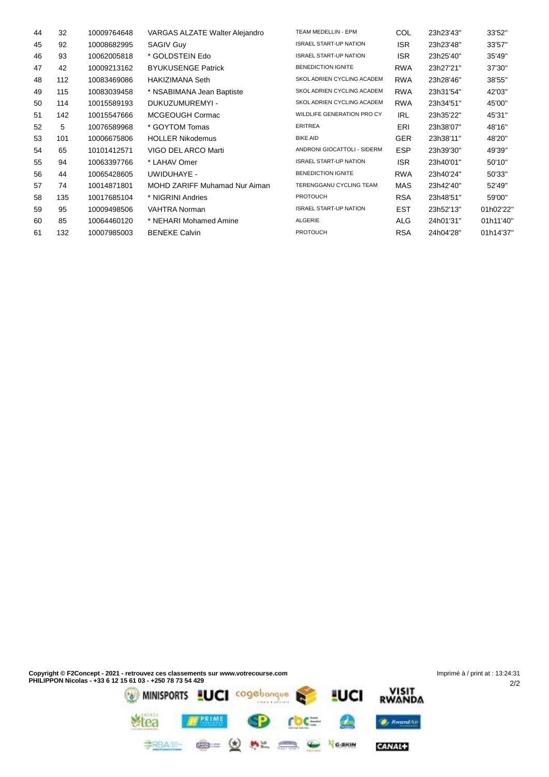| 44 | 32  | 10009764648 | VARGAS ALZATE Walter Alejandro | TEAM MEDELLIN - EPM               | COL        | 23h23'43" | 33'52"    |
|----|-----|-------------|--------------------------------|-----------------------------------|------------|-----------|-----------|
| 45 | 92  | 10008682995 | <b>SAGIV Guy</b>               | <b>ISRAEL START-UP NATION</b>     | <b>ISR</b> | 23h23'48" | 33'57"    |
| 46 | 93  | 10062005818 | * GOLDSTEIN Edo                | <b>ISRAEL START-UP NATION</b>     | <b>ISR</b> | 23h25'40" | 35'49"    |
| 47 | 42  | 10009213162 | <b>BYUKUSENGE Patrick</b>      | <b>BENEDICTION IGNITE</b>         | <b>RWA</b> | 23h27'21" | 37'30"    |
| 48 | 112 | 10083469086 | <b>HAKIZIMANA Seth</b>         | <b>SKOL ADRIEN CYCLING ACADEM</b> | <b>RWA</b> | 23h28'46" | 38'55"    |
| 49 | 115 | 10083039458 | * NSABIMANA Jean Baptiste      | <b>SKOL ADRIEN CYCLING ACADEM</b> | <b>RWA</b> | 23h31'54" | 42'03"    |
| 50 | 114 | 10015589193 | DUKUZUMUREMYI -                | <b>SKOL ADRIEN CYCLING ACADEM</b> | <b>RWA</b> | 23h34'51" | 45'00"    |
| 51 | 142 | 10015547666 | MCGEOUGH Cormac                | WILDLIFE GENERATION PRO CY        | <b>IRL</b> | 23h35'22" | 45'31"    |
| 52 | 5   | 10076589968 | * GOYTOM Tomas                 | <b>ERITREA</b>                    | ERI        | 23h38'07" | 48'16"    |
| 53 | 101 | 10006675806 | <b>HOLLER Nikodemus</b>        | <b>BIKE AID</b>                   | <b>GER</b> | 23h38'11" | 48'20"    |
| 54 | 65  | 10101412571 | VIGO DEL ARCO Marti            | ANDRONI GIOCATTOLI - SIDERM       | <b>ESP</b> | 23h39'30" | 49'39"    |
| 55 | 94  | 10063397766 | * LAHAV Omer                   | <b>ISRAEL START-UP NATION</b>     | <b>ISR</b> | 23h40'01" | 50'10"    |
| 56 | 44  | 10065428605 | UWIDUHAYE -                    | <b>BENEDICTION IGNITE</b>         | <b>RWA</b> | 23h40'24" | 50'33"    |
| 57 | 74  | 10014871801 | MOHD ZARIFF Muhamad Nur Aiman  | TERENGGANU CYCLING TEAM           | <b>MAS</b> | 23h42'40" | 52'49"    |
| 58 | 135 | 10017685104 | * NIGRINI Andries              | <b>PROTOUCH</b>                   | <b>RSA</b> | 23h48'51" | 59'00"    |
| 59 | 95  | 10009498506 | <b>VAHTRA Norman</b>           | <b>ISRAEL START-UP NATION</b>     | <b>EST</b> | 23h52'13" | 01h02'22" |
| 60 | 85  | 10064460120 | * NEHARI Mohamed Amine         | ALGERIE                           | ALG        | 24h01'31" | 01h11'40" |
| 61 | 132 | 10007985003 | <b>BENEKE Calvin</b>           | <b>PROTOUCH</b>                   | <b>RSA</b> | 24h04'28" | 01h14'37" |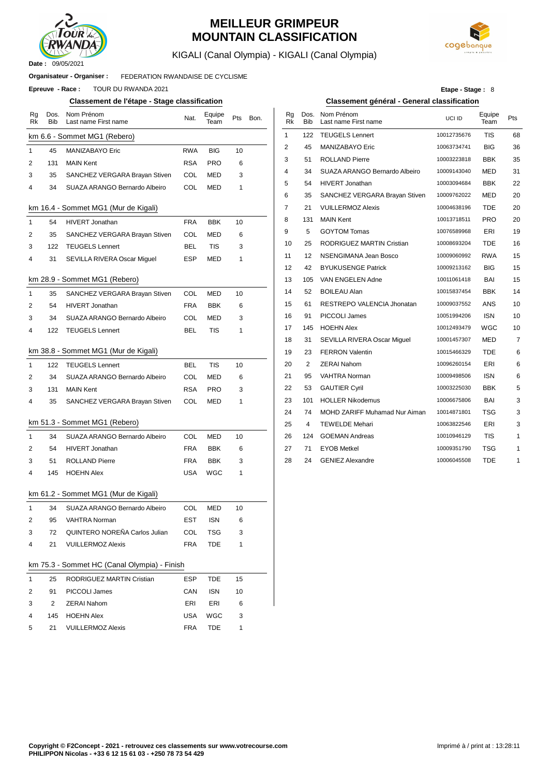

## **MEILLEUR GRIMPEUR MOUNTAIN CLASSIFICATION**



KIGALI (Canal Olympia) - KIGALI (Canal Olympia)

#### FEDERATION RWANDAISE DE CYCLISME **Organisateur - Organiser :**

**Epreuve - Race : TOUR DU RWANDA 2021** 

#### **Classement de l'étape - Stage classification Classement général - General classification**

| Rg<br>Rk     | Dos.<br>Bib    | Nom Prénom<br>Last name First name           | Nat.       | Equipe<br>Team | Pts | Bon. | Rg<br>Rk     | Dos.<br>Bib | Nom Prénom<br>Last name First na |
|--------------|----------------|----------------------------------------------|------------|----------------|-----|------|--------------|-------------|----------------------------------|
|              |                | km 6.6 - Sommet MG1 (Rebero)                 |            |                |     |      | $\mathbf{1}$ | 122         | <b>TEUGELS Lennert</b>           |
| 1            | 45             | MANIZABAYO Eric                              | <b>RWA</b> | <b>BIG</b>     | 10  |      | 2            | 45          | MANIZABAYO Eric                  |
| 2            | 131            | <b>MAIN Kent</b>                             | RSA        | PRO            | 6   |      | 3            | 51          | ROLLAND Pierre                   |
| 3            | 35             | SANCHEZ VERGARA Brayan Stiven                | COL        | <b>MED</b>     | 3   |      | 4            | 34          | SUAZA ARANGO I                   |
| 4            | 34             | SUAZA ARANGO Bernardo Albeiro                | <b>COL</b> | MED            | 1   |      | 5            | 54          | HIVERT Jonathan                  |
|              |                |                                              |            |                |     |      | 6            | 35          | SANCHEZ VERGA                    |
|              |                | km 16.4 - Sommet MG1 (Mur de Kigali)         |            |                |     |      | 7            | 21          | <b>VUILLERMOZ Alex</b>           |
| $\mathbf{1}$ | 54             | <b>HIVERT Jonathan</b>                       | <b>FRA</b> | <b>BBK</b>     | 10  |      | 8            | 131         | <b>MAIN Kent</b>                 |
| 2            | 35             | SANCHEZ VERGARA Brayan Stiven                | COL        | MED            | 6   |      | 9            | 5           | <b>GOYTOM Tomas</b>              |
| 3            | 122            | <b>TEUGELS Lennert</b>                       | BEL        | TIS            | 3   |      | 10           | 25          | RODRIGUEZ MAR                    |
| 4            | 31             | SEVILLA RIVERA Oscar Miguel                  | ESP        | MED            | 1   |      | 11           | 12          | NSENGIMANA Jea                   |
|              |                |                                              |            |                |     |      | 12           | 42          | <b>BYUKUSENGE Pa</b>             |
|              |                | km 28.9 - Sommet MG1 (Rebero)                |            |                |     |      | 13           | 105         | VAN ENGELEN Ad                   |
| 1            | 35             | SANCHEZ VERGARA Brayan Stiven                | COL        | MED            | 10  |      | 14           | 52          | BOILEAU Alan                     |
| 2            | 54             | <b>HIVERT Jonathan</b>                       | FRA        | <b>BBK</b>     | 6   |      | 15           | 61          | <b>RESTREPO VALE</b>             |
| 3            | 34             | SUAZA ARANGO Bernardo Albeiro                | COL        | MED            | 3   |      | 16           | 91          | PICCOLI James                    |
| 4            | 122            | <b>TEUGELS Lennert</b>                       | <b>BEL</b> | TIS            | 1   |      | 17           | 145         | <b>HOEHN Alex</b>                |
|              |                |                                              |            |                |     |      | 18           | 31          | SEVILLA RIVERA                   |
|              |                | km 38.8 - Sommet MG1 (Mur de Kigali)         |            |                |     |      | 19           | 23          | <b>FERRON Valentin</b>           |
| $\mathbf{1}$ | 122            | <b>TEUGELS Lennert</b>                       | <b>BEL</b> | <b>TIS</b>     | 10  |      | 20           | 2           | ZERAI Nahom                      |
| 2            | 34             | SUAZA ARANGO Bernardo Albeiro                | COL        | MED            | 6   |      | 21           | 95          | VAHTRA Norman                    |
| 3            | 131            | <b>MAIN Kent</b>                             | RSA        | <b>PRO</b>     | 3   |      | 22           | 53          | <b>GAUTIER Cyril</b>             |
| 4            | 35             | SANCHEZ VERGARA Brayan Stiven                | COL        | MED            | 1   |      | 23           | 101         | <b>HOLLER Nikodem</b>            |
|              |                |                                              |            |                |     |      | 24           | 74          | <b>MOHD ZARIFF Mu</b>            |
|              |                | km 51.3 - Sommet MG1 (Rebero)                |            |                |     |      | 25           | 4           | <b>TEWELDE Mehari</b>            |
| 1            | 34             | SUAZA ARANGO Bernardo Albeiro                | COL        | MED            | 10  |      | 26           | 124         | <b>GOEMAN Andreas</b>            |
| 2            | 54             | <b>HIVERT Jonathan</b>                       | FRA        | <b>BBK</b>     | 6   |      | 27           | 71          | <b>EYOB Metkel</b>               |
| 3            | 51             | <b>ROLLAND Pierre</b>                        | FRA        | <b>BBK</b>     | 3   |      | 28           | 24          | <b>GENIEZ Alexandre</b>          |
| 4            | 145            | <b>HOEHN Alex</b>                            | USA        | WGC            | 1   |      |              |             |                                  |
|              |                | km 61.2 - Sommet MG1 (Mur de Kigali)         |            |                |     |      |              |             |                                  |
| $\mathbf{1}$ | 34             | SUAZA ARANGO Bernardo Albeiro                | COL        | MED            | 10  |      |              |             |                                  |
| 2            |                | 95 VAHTRA Norman                             | EST        | ISN            | 6   |      |              |             |                                  |
| 3            | 72             | QUINTERO NOREÑA Carlos Julian                | COL        | TSG            | 3   |      |              |             |                                  |
| 4            | 21             | <b>VUILLERMOZ Alexis</b>                     | <b>FRA</b> | TDE            | 1   |      |              |             |                                  |
|              |                | km 75.3 - Sommet HC (Canal Olympia) - Finish |            |                |     |      |              |             |                                  |
| 1            | 25             | RODRIGUEZ MARTIN Cristian                    | ESP        | TDE            | 15  |      |              |             |                                  |
| 2            | 91             | PICCOLI James                                | CAN        | ISN            | 10  |      |              |             |                                  |
| 3            | $\overline{2}$ | ZERAI Nahom                                  | ERI        | ERI            | 6   |      |              |             |                                  |

| Etape - Stage: 8 |  |
|------------------|--|
|------------------|--|

Equipe

| Nom Prénom<br>Last name First name | Nat.       | Equipe<br>Team | Pts | Bon. | Rg<br><b>Rk</b> | Dos.<br><b>Bib</b> | Nom Prénom<br>Last name First name | UCI ID      | Equipe<br>Team | Pts            |
|------------------------------------|------------|----------------|-----|------|-----------------|--------------------|------------------------------------|-------------|----------------|----------------|
| mmet MG1 (Rebero)                  |            |                |     |      | $\mathbf{1}$    | 122                | <b>TEUGELS Lennert</b>             | 10012735676 | <b>TIS</b>     | 68             |
| <b>MANIZABAYO Eric</b>             | <b>RWA</b> | <b>BIG</b>     | 10  |      | $\overline{2}$  | 45                 | MANIZABAYO Eric                    | 10063734741 | <b>BIG</b>     | 36             |
| <b>MAIN Kent</b>                   | <b>RSA</b> | <b>PRO</b>     | 6   |      | 3               | 51                 | <b>ROLLAND Pierre</b>              | 10003223818 | <b>BBK</b>     | 35             |
| SANCHEZ VERGARA Brayan Stiven      | COL        | <b>MED</b>     | 3   |      | 4               | 34                 | SUAZA ARANGO Bernardo Albeiro      | 10009143040 | <b>MED</b>     | 31             |
| SUAZA ARANGO Bernardo Albeiro      | COL        | <b>MED</b>     | 1   |      | 5               | 54                 | HIVERT Jonathan                    | 10003094684 | <b>BBK</b>     | 22             |
|                                    |            |                |     |      | 6               | 35                 | SANCHEZ VERGARA Brayan Stiven      | 10009762022 | <b>MED</b>     | 20             |
| ommet MG1 (Mur de Kigali)          |            |                |     |      | $\overline{7}$  | 21                 | <b>VUILLERMOZ Alexis</b>           | 10004638196 | <b>TDE</b>     | 20             |
| <b>HIVERT Jonathan</b>             | <b>FRA</b> | <b>BBK</b>     | 10  |      | 8               | 131                | <b>MAIN Kent</b>                   | 10013718511 | <b>PRO</b>     | 20             |
| SANCHEZ VERGARA Brayan Stiven      | COL        | <b>MED</b>     | 6   |      | 9               | 5                  | <b>GOYTOM Tomas</b>                | 10076589968 | ERI            | 19             |
| <b>TEUGELS Lennert</b>             | <b>BEL</b> | <b>TIS</b>     | 3   |      | 10              | 25                 | RODRIGUEZ MARTIN Cristian          | 10008693204 | <b>TDE</b>     | 16             |
| SEVILLA RIVERA Oscar Miguel        | <b>ESP</b> | <b>MED</b>     | 1   |      | 11              | 12                 | NSENGIMANA Jean Bosco              | 10009060992 | <b>RWA</b>     | 15             |
|                                    |            |                |     |      | 12              | 42                 | <b>BYUKUSENGE Patrick</b>          | 10009213162 | <b>BIG</b>     | 15             |
| ommet MG1 (Rebero)                 |            |                |     |      | 13              | 105                | VAN ENGELEN Adne                   | 10011061418 | BAI            | 15             |
| SANCHEZ VERGARA Brayan Stiven      | COL        | <b>MED</b>     | 10  |      | 14              | 52                 | <b>BOILEAU Alan</b>                | 10015837454 | <b>BBK</b>     | 14             |
| <b>HIVERT Jonathan</b>             | <b>FRA</b> | <b>BBK</b>     | 6   |      | 15              | 61                 | RESTREPO VALENCIA Jhonatan         | 10009037552 | <b>ANS</b>     | 10             |
| SUAZA ARANGO Bernardo Albeiro      | COL        | <b>MED</b>     | 3   |      | 16              | 91                 | PICCOLI James                      | 10051994206 | <b>ISN</b>     | 10             |
| <b>TEUGELS Lennert</b>             | <b>BEL</b> | <b>TIS</b>     | 1   |      | 17              | 145                | <b>HOEHN Alex</b>                  | 10012493479 | WGC            | 10             |
|                                    |            |                |     |      | 18              | 31                 | SEVILLA RIVERA Oscar Miguel        | 10001457307 | <b>MED</b>     | $\overline{7}$ |
| ommet MG1 (Mur de Kigali)          |            |                |     |      | 19              | 23                 | <b>FERRON Valentin</b>             | 10015466329 | <b>TDE</b>     | 6              |
| <b>TEUGELS Lennert</b>             | <b>BEL</b> | <b>TIS</b>     | 10  |      | 20              | 2                  | <b>ZERAI Nahom</b>                 | 10096260154 | ERI            | 6              |
| SUAZA ARANGO Bernardo Albeiro      | COL        | <b>MED</b>     | 6   |      | 21              | 95                 | <b>VAHTRA Norman</b>               | 10009498506 | <b>ISN</b>     | 6              |
| <b>MAIN Kent</b>                   | <b>RSA</b> | <b>PRO</b>     | 3   |      | 22              | 53                 | <b>GAUTIER Cyril</b>               | 10003225030 | <b>BBK</b>     | 5              |
| SANCHEZ VERGARA Brayan Stiven      | COL        | <b>MED</b>     | 1   |      | 23              | 101                | <b>HOLLER Nikodemus</b>            | 10006675806 | <b>BAI</b>     | 3              |
|                                    |            |                |     |      | 24              | 74                 | MOHD ZARIFF Muhamad Nur Aiman      | 10014871801 | <b>TSG</b>     | 3              |
| ommet MG1 (Rebero)                 |            |                |     |      | 25              | 4                  | <b>TEWELDE Mehari</b>              | 10063822546 | ERI            | 3              |
| SUAZA ARANGO Bernardo Albeiro      | COL        | <b>MED</b>     | 10  |      | 26              | 124                | <b>GOEMAN Andreas</b>              | 10010946129 | <b>TIS</b>     | 1              |
| HIVERT Jonathan                    | <b>FRA</b> | <b>BBK</b>     | 6   |      | 27              | 71                 | <b>EYOB Metkel</b>                 | 10009351790 | <b>TSG</b>     | 1              |
| <b>ROLLAND Pierre</b>              | <b>FRA</b> | <b>BBK</b>     | 3   |      | 28              | 24                 | <b>GENIEZ Alexandre</b>            | 10006045508 | <b>TDE</b>     | 1              |
|                                    |            |                |     |      |                 |                    |                                    |             |                |                |

3 1

USA FRA WGC TDE

4 5

145 HOEHN Alex

VUILLERMOZ Alexis

21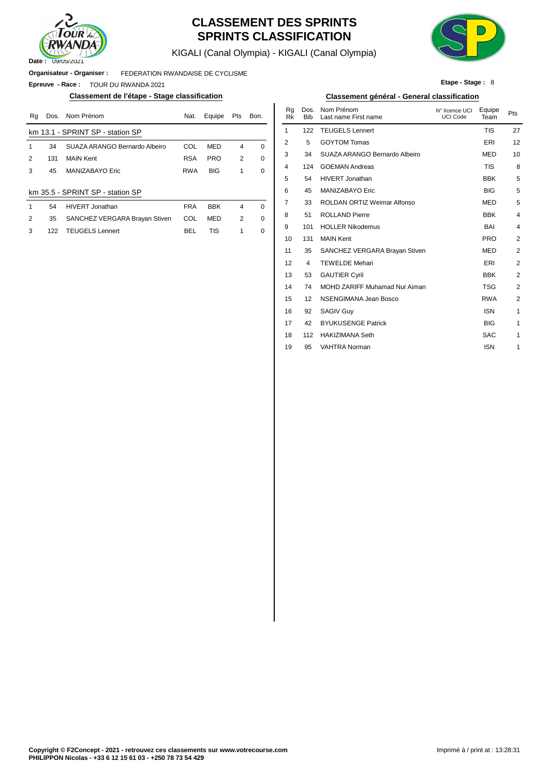

## **CLASSEMENT DES SPRINTS SPRINTS CLASSIFICATION**

KIGALI (Canal Olympia) - KIGALI (Canal Olympia)



**Etape - Stage :** 8

**Organisateur - Organiser :** FEDERATION RWANDAISE DE CYCLISME

**Epreuve - Race :** TOUR DU RWANDA 2021

#### **Classement de l'étape - Stage classification Classement général - General classification**

| Rq | Dos. | Nom Prénom                       | Nat.       | Equipe     | Pts            | Bon.        | Rq<br>Rk | Dos.<br><b>Bib</b> | Nom Prénom<br>Last name First name | N° licence UCI<br><b>UCI Code</b> | Equipe<br>Team | Pts            |
|----|------|----------------------------------|------------|------------|----------------|-------------|----------|--------------------|------------------------------------|-----------------------------------|----------------|----------------|
|    |      | km 13.1 - SPRINT SP - station SP |            |            |                |             |          | 122                | <b>TEUGELS Lennert</b>             |                                   | <b>TIS</b>     | 27             |
|    | 34   | SUAZA ARANGO Bernardo Albeiro    | COL        | <b>MED</b> | 4              | $\Omega$    | 2        | 5                  | <b>GOYTOM Tomas</b>                |                                   | ERI            | 12             |
| 2  | 131  | <b>MAIN Kent</b>                 | <b>RSA</b> | <b>PRO</b> | $\overline{2}$ | $\mathbf 0$ | 3        | 34                 | SUAZA ARANGO Bernardo Albeiro      |                                   | <b>MED</b>     | 1 <sup>1</sup> |
| 3  | 45   | <b>MANIZABAYO Eric</b>           | <b>RWA</b> | <b>BIG</b> |                | 0           | 4        | 124                | <b>GOEMAN Andreas</b>              |                                   | <b>TIS</b>     | ε              |
|    |      |                                  |            |            |                |             | 5        | 54                 | HIVERT Jonathan                    |                                   | <b>BBK</b>     | 5              |
|    |      | km 35.5 - SPRINT SP - station SP |            |            |                |             | 6        | 45                 | MANIZABAYO Eric                    |                                   | <b>BIG</b>     | 5              |
|    | 54   | HIVERT Jonathan                  | <b>FRA</b> | <b>BBK</b> | 4              | $\Omega$    |          | 33                 | ROLDAN ORTIZ Weimar Alfonso        |                                   | MED            | 5              |
| 2  | 35   | SANCHEZ VERGARA Brayan Stiven    | COL        | <b>MED</b> | 2              | $\Omega$    | 8        | 51                 | <b>ROLLAND Pierre</b>              |                                   | <b>BBK</b>     |                |
| 3  | 122  | <b>TEUGELS Lennert</b>           | <b>BEL</b> | TIS        |                | $\mathbf 0$ | 9        | 101                | <b>HOLLER Nikodemus</b>            |                                   | BAI            |                |
|    |      |                                  |            |            |                |             | 10       | 131                | MAIN Kent                          |                                   | <b>PRO</b>     |                |

| Nom Prénom                    | Nat.       | Equipe     | Pts | Bon. | Rq<br>Rk | Dos.<br><b>Bib</b> | Nom Prénom<br>Last name First name | N° licence UCI<br>UCI Code | Equipe<br>Team | Pts            |
|-------------------------------|------------|------------|-----|------|----------|--------------------|------------------------------------|----------------------------|----------------|----------------|
| PRINT SP - station SP         |            |            |     |      | 1        | 122                | <b>TEUGELS Lennert</b>             |                            | <b>TIS</b>     | 27             |
| SUAZA ARANGO Bernardo Albeiro | COL        | <b>MED</b> | 4   | 0    | 2        | 5                  | <b>GOYTOM Tomas</b>                |                            | ERI            | 12             |
| <b>MAIN Kent</b>              | <b>RSA</b> | <b>PRO</b> | 2   | 0    | 3        | 34                 | SUAZA ARANGO Bernardo Albeiro      |                            | <b>MED</b>     | 10             |
| <b>MANIZABAYO Eric</b>        | <b>RWA</b> | <b>BIG</b> | 1   | 0    | 4        | 124                | <b>GOEMAN Andreas</b>              |                            | <b>TIS</b>     | 8              |
|                               |            |            |     |      | 5        | 54                 | HIVERT Jonathan                    |                            | <b>BBK</b>     | 5              |
| PRINT SP - station SP         |            |            |     |      | 6        | 45                 | <b>MANIZABAYO Eric</b>             |                            | <b>BIG</b>     | 5              |
| <b>HIVERT Jonathan</b>        | <b>FRA</b> | <b>BBK</b> | 4   | 0    | 7        | 33                 | <b>ROLDAN ORTIZ Weimar Alfonso</b> |                            | <b>MED</b>     | 5              |
| SANCHEZ VERGARA Brayan Stiven | COL        | <b>MED</b> | 2   | 0    | 8        | 51                 | <b>ROLLAND Pierre</b>              |                            | <b>BBK</b>     | 4              |
| <b>TEUGELS Lennert</b>        | <b>BEL</b> | <b>TIS</b> | 1   | 0    | 9        | 101                | <b>HOLLER Nikodemus</b>            |                            | BAI            | 4              |
|                               |            |            |     |      | 10       | 131                | <b>MAIN Kent</b>                   |                            | <b>PRO</b>     | 2              |
|                               |            |            |     |      | 11       | 35                 | SANCHEZ VERGARA Brayan Stiven      |                            | <b>MED</b>     | 2              |
|                               |            |            |     |      | 12       | 4                  | <b>TEWELDE Mehari</b>              |                            | ERI            | 2              |
|                               |            |            |     |      | 13       | 53                 | <b>GAUTIER Cyril</b>               |                            | <b>BBK</b>     | 2              |
|                               |            |            |     |      | 14       | 74                 | MOHD ZARIFF Muhamad Nur Aiman      |                            | <b>TSG</b>     | $\overline{2}$ |
|                               |            |            |     |      | 15       | 12                 | NSENGIMANA Jean Bosco              |                            | <b>RWA</b>     | 2              |
|                               |            |            |     |      | 16       | 92                 | <b>SAGIV Guy</b>                   |                            | <b>ISN</b>     | 1              |
|                               |            |            |     |      | 17       | 42                 | <b>BYUKUSENGE Patrick</b>          |                            | <b>BIG</b>     | 1              |
|                               |            |            |     |      | 18       | 112                | <b>HAKIZIMANA Seth</b>             |                            | <b>SAC</b>     | 1              |
|                               |            |            |     |      | 19       | 95                 | <b>VAHTRA Norman</b>               |                            | <b>ISN</b>     | $\mathbf{1}$   |
|                               |            |            |     |      |          |                    |                                    |                            |                |                |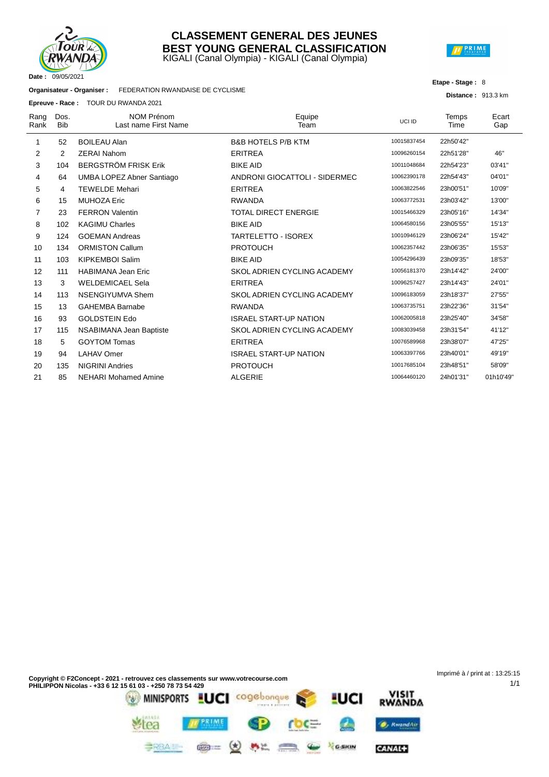

#### KIGALI (Canal Olympia) - KIGALI (Canal Olympia) **CLASSEMENT GENERAL DES JEUNES BEST YOUNG GENERAL CLASSIFICATION**



#### **Etape - Stage :** 8

**Distance :** 913.3 km

1/1

**Organisateur - Organiser :** FEDERATION RWANDAISE DE CYCLISME

**Epreuve - Race :** TOUR DU RWANDA 2021

|              |                    | <b>Epreuve - Race :</b> TOOR DU RWANDA 2021 |                                    |             |               |              |
|--------------|--------------------|---------------------------------------------|------------------------------------|-------------|---------------|--------------|
| Rang<br>Rank | Dos.<br><b>Bib</b> | <b>NOM Prénom</b><br>Last name First Name   | Equipe<br>Team                     | UCI ID      | Temps<br>Time | Ecart<br>Gap |
| 1            | 52                 | <b>BOILEAU Alan</b>                         | <b>B&amp;B HOTELS P/B KTM</b>      | 10015837454 | 22h50'42"     |              |
| 2            | 2                  | <b>ZERAI Nahom</b>                          | <b>ERITREA</b>                     | 10096260154 | 22h51'28"     | 46"          |
| 3            | 104                | <b>BERGSTRÖM FRISK Erik</b>                 | <b>BIKE AID</b>                    | 10011048684 | 22h54'23"     | 03'41"       |
| 4            | 64                 | UMBA LOPEZ Abner Santiago                   | ANDRONI GIOCATTOLI - SIDERMEC      | 10062390178 | 22h54'43"     | 04'01"       |
| 5            | 4                  | <b>TEWELDE Mehari</b>                       | <b>ERITREA</b>                     | 10063822546 | 23h00'51"     | 10'09"       |
| 6            | 15                 | <b>MUHOZA Eric</b>                          | <b>RWANDA</b>                      | 10063772531 | 23h03'42"     | 13'00"       |
| 7            | 23                 | <b>FERRON Valentin</b>                      | <b>TOTAL DIRECT ENERGIE</b>        | 10015466329 | 23h05'16"     | 14'34"       |
| 8            | 102                | <b>KAGIMU Charles</b>                       | <b>BIKE AID</b>                    | 10064580156 | 23h05'55"     | 15'13"       |
| 9            | 124                | <b>GOEMAN Andreas</b>                       | <b>TARTELETTO - ISOREX</b>         | 10010946129 | 23h06'24"     | 15'42"       |
| 10           | 134                | <b>ORMISTON Callum</b>                      | <b>PROTOUCH</b>                    | 10062357442 | 23h06'35"     | 15'53"       |
| 11           | 103                | <b>KIPKEMBOI Salim</b>                      | <b>BIKE AID</b>                    | 10054296439 | 23h09'35"     | 18'53"       |
| 12           | 111                | <b>HABIMANA Jean Eric</b>                   | <b>SKOL ADRIEN CYCLING ACADEMY</b> | 10056181370 | 23h14'42"     | 24'00"       |
| 13           | 3                  | <b>WELDEMICAEL Sela</b>                     | <b>ERITREA</b>                     | 10096257427 | 23h14'43"     | 24'01"       |
| 14           | 113                | NSENGIYUMVA Shem                            | SKOL ADRIEN CYCLING ACADEMY        | 10096183059 | 23h18'37"     | 27'55"       |
| 15           | 13                 | <b>GAHEMBA Barnabe</b>                      | <b>RWANDA</b>                      | 10063735751 | 23h22'36"     | 31'54"       |
| 16           | 93                 | <b>GOLDSTEIN Edo</b>                        | <b>ISRAEL START-UP NATION</b>      | 10062005818 | 23h25'40"     | 34'58"       |
| 17           | 115                | NSABIMANA Jean Baptiste                     | SKOL ADRIEN CYCLING ACADEMY        | 10083039458 | 23h31'54"     | 41'12"       |
| 18           | 5                  | <b>GOYTOM Tomas</b>                         | <b>ERITREA</b>                     | 10076589968 | 23h38'07"     | 47'25"       |
| 19           | 94                 | <b>LAHAV Omer</b>                           | <b>ISRAEL START-UP NATION</b>      | 10063397766 | 23h40'01"     | 49'19"       |
| 20           | 135                | <b>NIGRINI Andries</b>                      | <b>PROTOUCH</b>                    | 10017685104 | 23h48'51"     | 58'09"       |
| 21           | 85                 | <b>NEHARI Mohamed Amine</b>                 | <b>ALGERIE</b>                     | 10064460120 | 24h01'31"     | 01h10'49"    |
|              |                    |                                             |                                    |             |               |              |

Imprimé à / print at : 13:25:15**Copyright © F2Concept - 2021 - retrouvez ces classements sur www.votrecourse.com PHILIPPON Nicolas - +33 6 12 15 61 03 - +250 78 73 54 429** VISIT<br>RWANDA cogebonque MINISPORTS **LUCI** UCI PRIME **O**, KwandAir rea

 $M_{\rm{max}}$ 

漂

G-SKIN

CANAL+

 $\circledast$ 

**BRBAIL**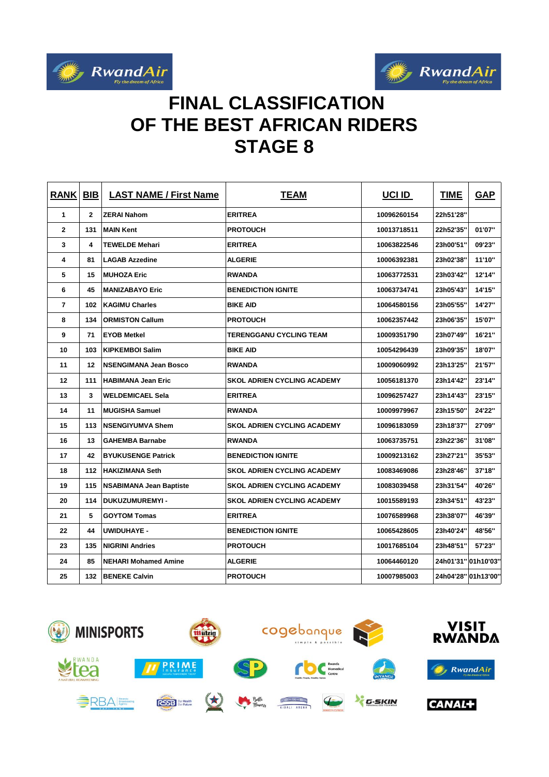



# **FINAL CLASSIFICATION OF THE BEST AFRICAN RIDERS STAGE 8**

| <b>RANK</b>    | BIB | <b>LAST NAME / First Name</b>  | <b>TEAM</b>                        | UCI ID      | <b>TIME</b>         | <b>GAP</b> |
|----------------|-----|--------------------------------|------------------------------------|-------------|---------------------|------------|
| 1              | 2   | <b>ZERAI Nahom</b>             | <b>ERITREA</b>                     | 10096260154 | 22h51'28"           |            |
| $\mathbf{2}$   | 131 | <b>MAIN Kent</b>               | <b>PROTOUCH</b>                    | 10013718511 | 22h52'35"           | 01'07"     |
| 3              | 4   | <b>TEWELDE Mehari</b>          | <b>ERITREA</b>                     | 10063822546 | 23h00'51"           | 09'23"     |
| 4              | 81  | <b>LAGAB Azzedine</b>          | <b>ALGERIE</b>                     | 10006392381 | 23h02'38"           | 11'10"     |
| 5              | 15  | <b>MUHOZA Eric</b>             | <b>RWANDA</b>                      | 10063772531 | 23h03'42"           | 12'14"     |
| 6              | 45  | <b>MANIZABAYO Eric</b>         | <b>BENEDICTION IGNITE</b>          | 10063734741 | 23h05'43"           | 14'15"     |
| $\overline{7}$ | 102 | <b>KAGIMU Charles</b>          | <b>BIKE AID</b>                    | 10064580156 | 23h05'55"           | 14'27"     |
| 8              | 134 | <b>ORMISTON Callum</b>         | <b>PROTOUCH</b>                    | 10062357442 | 23h06'35"           | 15'07"     |
| 9              | 71  | <b>EYOB Metkel</b>             | TERENGGANU CYCLING TEAM            | 10009351790 | 23h07'49"           | 16'21"     |
| 10             | 103 | <b>KIPKEMBOI Salim</b>         | <b>BIKE AID</b>                    | 10054296439 | 23h09'35"           | 18'07"     |
| 11             | 12  | <b>NSENGIMANA Jean Bosco</b>   | <b>RWANDA</b>                      | 10009060992 | 23h13'25"           | 21'57"     |
| 12             | 111 | <b>HABIMANA Jean Eric</b>      | <b>SKOL ADRIEN CYCLING ACADEMY</b> | 10056181370 | 23h14'42"           | 23'14"     |
| 13             | 3   | <b>WELDEMICAEL Sela</b>        | <b>ERITREA</b>                     | 10096257427 | 23h14'43"           | 23'15"     |
| 14             | 11  | <b>MUGISHA Samuel</b>          | <b>RWANDA</b>                      | 10009979967 | 23h15'50"           | 24'22"     |
| 15             | 113 | <b>NSENGIYUMVA Shem</b>        | SKOL ADRIEN CYCLING ACADEMY        | 10096183059 | 23h18'37"           | 27'09"     |
| 16             | 13  | <b>GAHEMBA Barnabe</b>         | <b>RWANDA</b>                      | 10063735751 | 23h22'36"           | 31'08"     |
| 17             | 42  | <b>BYUKUSENGE Patrick</b>      | <b>BENEDICTION IGNITE</b>          | 10009213162 | 23h27'21"           | 35'53"     |
| 18             | 112 | <b>HAKIZIMANA Seth</b>         | <b>SKOL ADRIEN CYCLING ACADEMY</b> | 10083469086 | 23h28'46"           | 37'18"     |
| 19             | 115 | <b>NSABIMANA Jean Baptiste</b> | <b>SKOL ADRIEN CYCLING ACADEMY</b> | 10083039458 | 23h31'54"           | 40'26"     |
| 20             | 114 | <b>DUKUZUMUREMYI-</b>          | <b>SKOL ADRIEN CYCLING ACADEMY</b> | 10015589193 | 23h34'51"           | 43'23"     |
| 21             | 5   | <b>GOYTOM Tomas</b>            | <b>ERITREA</b>                     | 10076589968 | 23h38'07"           | 46'39"     |
| 22             | 44  | <b>UWIDUHAYE -</b>             | <b>BENEDICTION IGNITE</b>          | 10065428605 | 23h40'24"           | 48'56"     |
| 23             | 135 | <b>NIGRINI Andries</b>         | <b>PROTOUCH</b>                    | 10017685104 | 23h48'51"           | 57'23"     |
| 24             | 85  | <b>NEHARI Mohamed Amine</b>    | <b>ALGERIE</b>                     | 10064460120 | 24h01'31" 01h10'03" |            |
| 25             | 132 | <b>BENEKE Calvin</b>           | <b>PROTOUCH</b>                    | 10007985003 | 24h04'28" 01h13'00" |            |

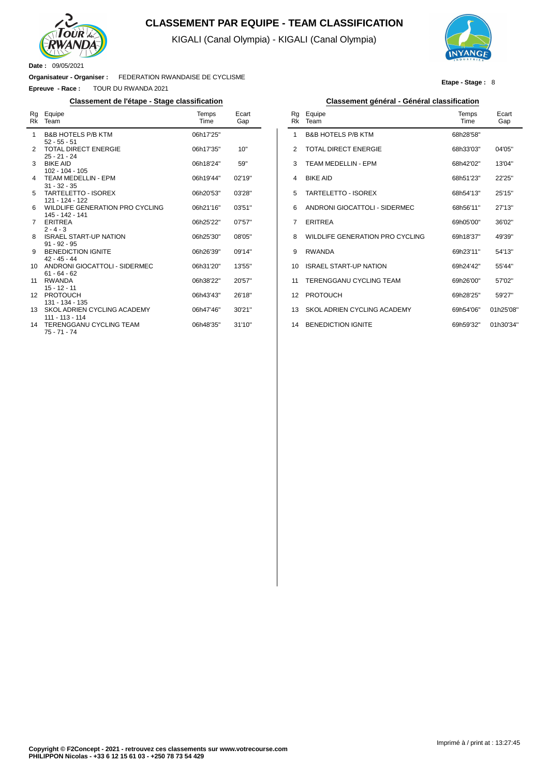

## **CLASSEMENT PAR EQUIPE - TEAM CLASSIFICATION**

KIGALI (Canal Olympia) - KIGALI (Canal Olympia)

l,



**Etape - Stage :** 8

**Date :** 09/05/2021

 $\overline{a}$ 

**Organisateur - Organiser :** FEDERATION RWANDAISE DE CYCLISME

**Epreuve - Race :** TOUR DU RWANDA 2021

#### **Classement de l'étape - Stage classification Classement général - Général classification**

| Rq<br>Rk | Equipe<br>Team                                                    | Temps<br>Time | Ecart<br>Gap |
|----------|-------------------------------------------------------------------|---------------|--------------|
| 1        | <b>B&amp;B HOTELS P/B KTM</b>                                     | 06h17'25"     |              |
| 2        | $52 - 55 - 51$<br><b>TOTAL DIRECT ENERGIE</b><br>$25 - 21 - 24$   | 06h17'35"     | 10"          |
| 3        | <b>BIKE AID</b><br>$102 - 104 - 105$                              | 06h18'24"     | 59"          |
| 4        | <b>TEAM MEDELLIN - EPM</b>                                        | 06h19'44"     | 02'19''      |
| 5        | $31 - 32 - 35$<br>TARTELETTO - ISOREX                             | 06h20'53"     | 03'28"       |
| 6        | 121 - 124 - 122<br>WILDLIFE GENERATION PRO CYCLING                | 06h21'16"     | 03'51"       |
| 7        | 145 - 142 - 141<br><b>ERITREA</b>                                 | 06h25'22"     | 07'57''      |
| 8        | $2 - 4 - 3$<br><b>ISRAEL START-UP NATION</b>                      | 06h25'30"     | 08'05"       |
| 9        | $91 - 92 - 95$<br><b>BENEDICTION IGNITE</b>                       | 06h26'39"     | 09'14"       |
| 10       | $42 - 45 - 44$<br>ANDRONI GIOCATTOLI - SIDERMEC                   | 06h31'20"     | 13'55"       |
| 11       | $61 - 64 - 62$<br>RWANDA                                          | 06h38'22"     | 20'57"       |
| 12       | $15 - 12 - 11$<br><b>PROTOUCH</b>                                 | 06h43'43"     | 26'18"       |
| 13       | 131 - 134 - 135<br>SKOL ADRIEN CYCLING ACADEMY                    | 06h47'46"     | 30'21"       |
| 14       | 111 - 113 - 114<br><b>TERENGGANU CYCLING TEAM</b><br>75 - 71 - 74 | 06h48'35"     | 31'10''      |

| Classement général - Général classification |  |  |
|---------------------------------------------|--|--|
|---------------------------------------------|--|--|

| Rq<br>Rk | Equipe<br>Team                  | Temps<br><b>Time</b> | Ecart<br>Gap |
|----------|---------------------------------|----------------------|--------------|
| 1        | <b>B&amp;B HOTFLS P/B KTM</b>   | 68h28'58"            |              |
| 2        | <b>TOTAL DIRECT ENERGIE</b>     | 68h33'03"            | 04'05"       |
| 3        | TFAM MFDFI I IN - FPM           | 68h42'02"            | 13'04"       |
| 4        | <b>BIKE AID</b>                 | 68h51'23"            | 22'25"       |
| 5        | <b>TARTELETTO - ISOREX</b>      | 68h54'13"            | 25'15"       |
| 6        | ANDRONI GIOCATTOLI - SIDERMEC   | 68h56'11"            | 27'13"       |
| 7        | <b>FRITRFA</b>                  | 69h05'00"            | 36'02"       |
| 8        | WILDLIFF GENERATION PRO CYCLING | 69h18'37"            | 49'39"       |
| 9        | <b>RWANDA</b>                   | 69h23'11"            | 54'13"       |
| 10       | ISRAFI START-UP NATION          | 69h24'42"            | 55'44"       |
| 11       | TERENGGANU CYCLING TEAM         | 69h26'00"            | 57'02"       |
| 12       | <b>PROTOUCH</b>                 | 69h28'25"            | 59'27"       |
| 13       | SKOL ADRIEN CYCLING ACADEMY     | 69h54'06"            | 01h25'08"    |
| 14       | <b>BENEDICTION IGNITE</b>       | 69h59'32"            | 01h30'34"    |
|          |                                 |                      |              |